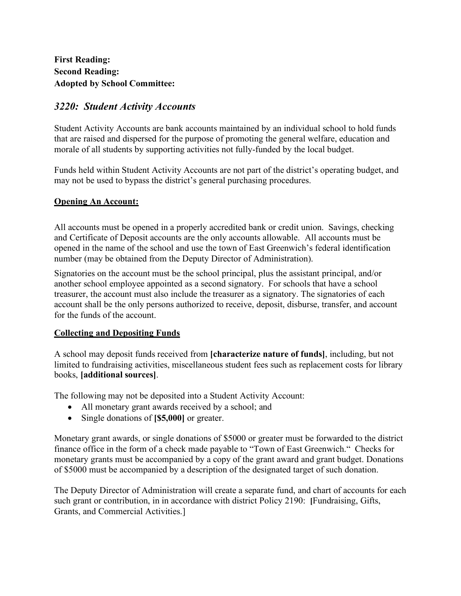**First Reading: Second Reading: Adopted by School Committee:** 

# *3220: Student Activity Accounts*

Student Activity Accounts are bank accounts maintained by an individual school to hold funds that are raised and dispersed for the purpose of promoting the general welfare, education and morale of all students by supporting activities not fully-funded by the local budget.

Funds held within Student Activity Accounts are not part of the district's operating budget, and may not be used to bypass the district's general purchasing procedures.

## **Opening An Account:**

All accounts must be opened in a properly accredited bank or credit union. Savings, checking and Certificate of Deposit accounts are the only accounts allowable. All accounts must be opened in the name of the school and use the town of East Greenwich's federal identification number (may be obtained from the Deputy Director of Administration).

Signatories on the account must be the school principal, plus the assistant principal, and/or another school employee appointed as a second signatory. For schools that have a school treasurer, the account must also include the treasurer as a signatory. The signatories of each account shall be the only persons authorized to receive, deposit, disburse, transfer, and account for the funds of the account.

## **Collecting and Depositing Funds**

A school may deposit funds received from **[characterize nature of funds]**, including, but not limited to fundraising activities, miscellaneous student fees such as replacement costs for library books, **[additional sources]**.

The following may not be deposited into a Student Activity Account:

- All monetary grant awards received by a school; and
- Single donations of **[\$5,000]** or greater.

Monetary grant awards, or single donations of \$5000 or greater must be forwarded to the district finance office in the form of a check made payable to "Town of East Greenwich." Checks for monetary grants must be accompanied by a copy of the grant award and grant budget. Donations of \$5000 must be accompanied by a description of the designated target of such donation.

The Deputy Director of Administration will create a separate fund, and chart of accounts for each such grant or contribution, in in accordance with district Policy 2190: **[**Fundraising, Gifts, Grants, and Commercial Activities.]